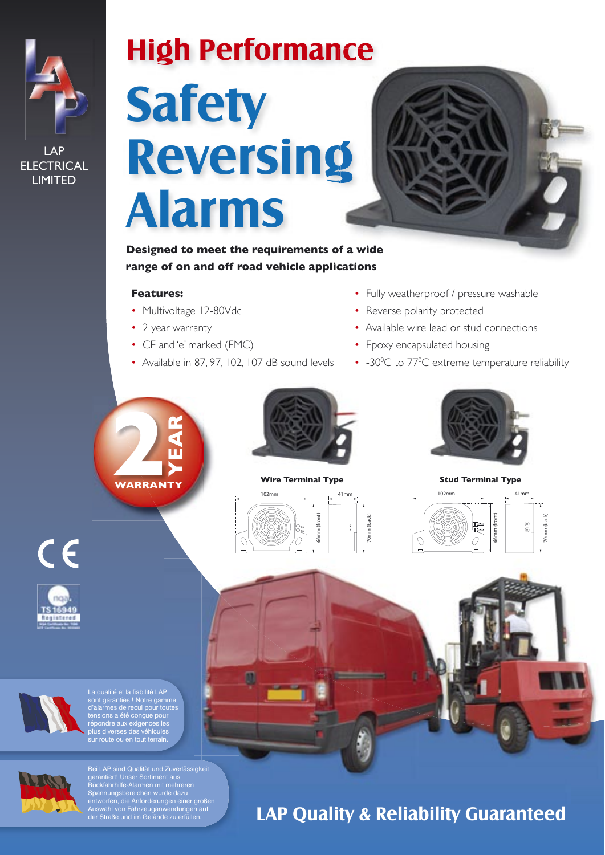

| ∥ AP              |
|-------------------|
| <b>ELECTRICAL</b> |
| <b>LIMITED</b>    |

# **High Performance Safety** Reversing **Alarms**



Designed to meet the requirements of a wide range of on and off road vehicle applications

# **Features:**

- Multivoltage 12-80Vdc
- 2 year warranty
- CE and 'e' marked (EMC)
- Available in 87, 97, 102, 107 dB sound levels
- Fully weatherproof / pressure washable
- Reverse polarity protected
- Available wire lead or stud connections
- Epoxy encapsulated housing
- -30°C to 77°C extreme temperature reliability





## **Wire Terminal Type**





**Stud Terminal Type** 











Bei LAP sind Qualität und Zuverlässigkeit Bei LAP sind Qualitat und Zuverlassigkeit<br>garantiert! Unser Sortiment aus<br>Rückfahrhilfe-Alarmen mit mehreren<br>Spannungsbereichen wurde dazu<br>entworfen, die Anforderungen einer großen<br>Auswahl von Fahrzeuganwendungen auf<br>der S

# **LAP Quality & Reliability Guaranteed**